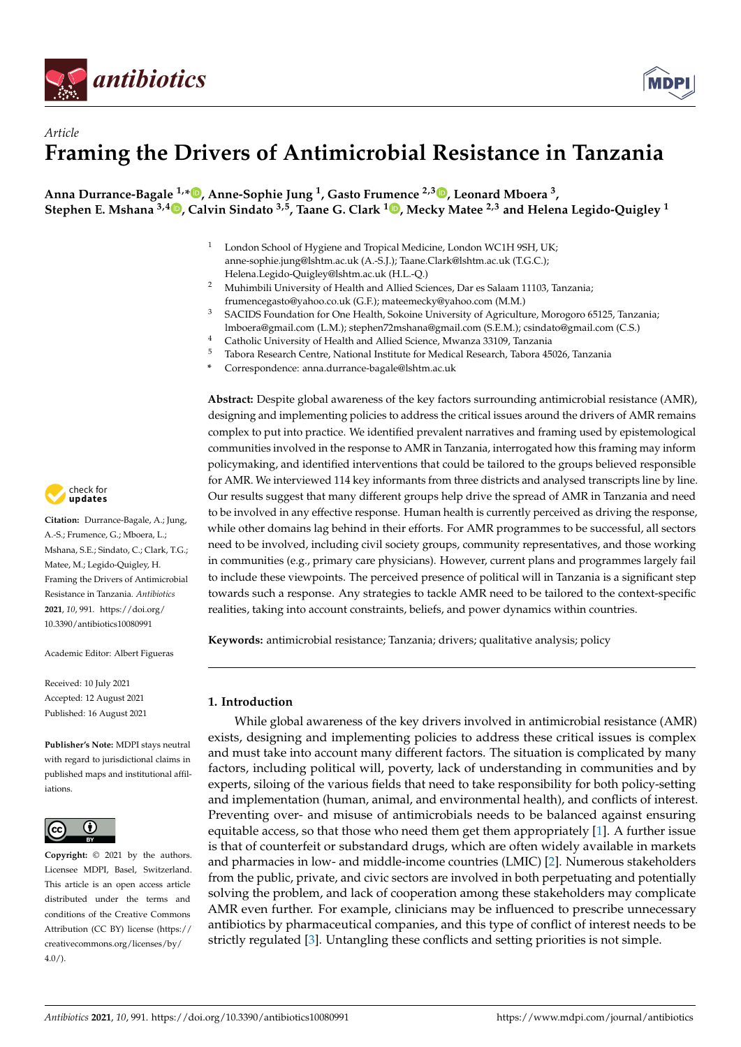



**Anna Durrance-Bagale 1,[\\*](https://orcid.org/0000-0001-6674-1862) , Anne-Sophie Jung <sup>1</sup> , Gasto Frumence 2,3 [,](https://orcid.org/0000-0003-4605-9457) Leonard Mboera <sup>3</sup> , Stephen E. Mshana 3,4 [,](https://orcid.org/0000-0002-7526-6271) Calvin Sindato 3,5, Taane G. Clark <sup>1</sup> [,](https://orcid.org/0000-0001-8985-9265) Mecky Matee 2,3 and Helena Legido-Quigley <sup>1</sup>**

- <sup>1</sup> London School of Hygiene and Tropical Medicine, London WC1H 9SH, UK; anne-sophie.jung@lshtm.ac.uk (A.-S.J.); Taane.Clark@lshtm.ac.uk (T.G.C.); Helena.Legido-Quigley@lshtm.ac.uk (H.L.-Q.)
- <sup>2</sup> Muhimbili University of Health and Allied Sciences, Dar es Salaam 11103, Tanzania; frumencegasto@yahoo.co.uk (G.F.); mateemecky@yahoo.com (M.M.)
- <sup>3</sup> SACIDS Foundation for One Health, Sokoine University of Agriculture, Morogoro 65125, Tanzania; lmboera@gmail.com (L.M.); stephen72mshana@gmail.com (S.E.M.); csindato@gmail.com (C.S.)
- <sup>4</sup> Catholic University of Health and Allied Science, Mwanza 33109, Tanzania<br> $\frac{5}{2}$  Takena Bassank Cantus Matinaal Institute for Matinal Bassank Takena 45
- <sup>5</sup> Tabora Research Centre, National Institute for Medical Research, Tabora 45026, Tanzania
- **\*** Correspondence: anna.durrance-bagale@lshtm.ac.uk

**Abstract:** Despite global awareness of the key factors surrounding antimicrobial resistance (AMR), designing and implementing policies to address the critical issues around the drivers of AMR remains complex to put into practice. We identified prevalent narratives and framing used by epistemological communities involved in the response to AMR in Tanzania, interrogated how this framing may inform policymaking, and identified interventions that could be tailored to the groups believed responsible for AMR. We interviewed 114 key informants from three districts and analysed transcripts line by line. Our results suggest that many different groups help drive the spread of AMR in Tanzania and need to be involved in any effective response. Human health is currently perceived as driving the response, while other domains lag behind in their efforts. For AMR programmes to be successful, all sectors need to be involved, including civil society groups, community representatives, and those working in communities (e.g., primary care physicians). However, current plans and programmes largely fail to include these viewpoints. The perceived presence of political will in Tanzania is a significant step towards such a response. Any strategies to tackle AMR need to be tailored to the context-specific realities, taking into account constraints, beliefs, and power dynamics within countries.

**Keywords:** antimicrobial resistance; Tanzania; drivers; qualitative analysis; policy

## **1. Introduction**

While global awareness of the key drivers involved in antimicrobial resistance (AMR) exists, designing and implementing policies to address these critical issues is complex and must take into account many different factors. The situation is complicated by many factors, including political will, poverty, lack of understanding in communities and by experts, siloing of the various fields that need to take responsibility for both policy-setting and implementation (human, animal, and environmental health), and conflicts of interest. Preventing over- and misuse of antimicrobials needs to be balanced against ensuring equitable access, so that those who need them get them appropriately [\[1\]](#page-14-0). A further issue is that of counterfeit or substandard drugs, which are often widely available in markets and pharmacies in low- and middle-income countries (LMIC) [\[2\]](#page-14-1). Numerous stakeholders from the public, private, and civic sectors are involved in both perpetuating and potentially solving the problem, and lack of cooperation among these stakeholders may complicate AMR even further. For example, clinicians may be influenced to prescribe unnecessary antibiotics by pharmaceutical companies, and this type of conflict of interest needs to be strictly regulated [\[3\]](#page-14-2). Untangling these conflicts and setting priorities is not simple.



**Citation:** Durrance-Bagale, A.; Jung, A.-S.; Frumence, G.; Mboera, L.; Mshana, S.E.; Sindato, C.; Clark, T.G.; Matee, M.; Legido-Quigley, H. Framing the Drivers of Antimicrobial Resistance in Tanzania. *Antibiotics* **2021**, *10*, 991. [https://doi.org/](https://doi.org/10.3390/antibiotics10080991) [10.3390/antibiotics10080991](https://doi.org/10.3390/antibiotics10080991)

Academic Editor: Albert Figueras

Received: 10 July 2021 Accepted: 12 August 2021 Published: 16 August 2021

**Publisher's Note:** MDPI stays neutral with regard to jurisdictional claims in published maps and institutional affiliations.



**Copyright:** © 2021 by the authors. Licensee MDPI, Basel, Switzerland. This article is an open access article distributed under the terms and conditions of the Creative Commons Attribution (CC BY) license (https:/[/](https://creativecommons.org/licenses/by/4.0/) [creativecommons.org/licenses/by/](https://creativecommons.org/licenses/by/4.0/)  $4.0/$ ).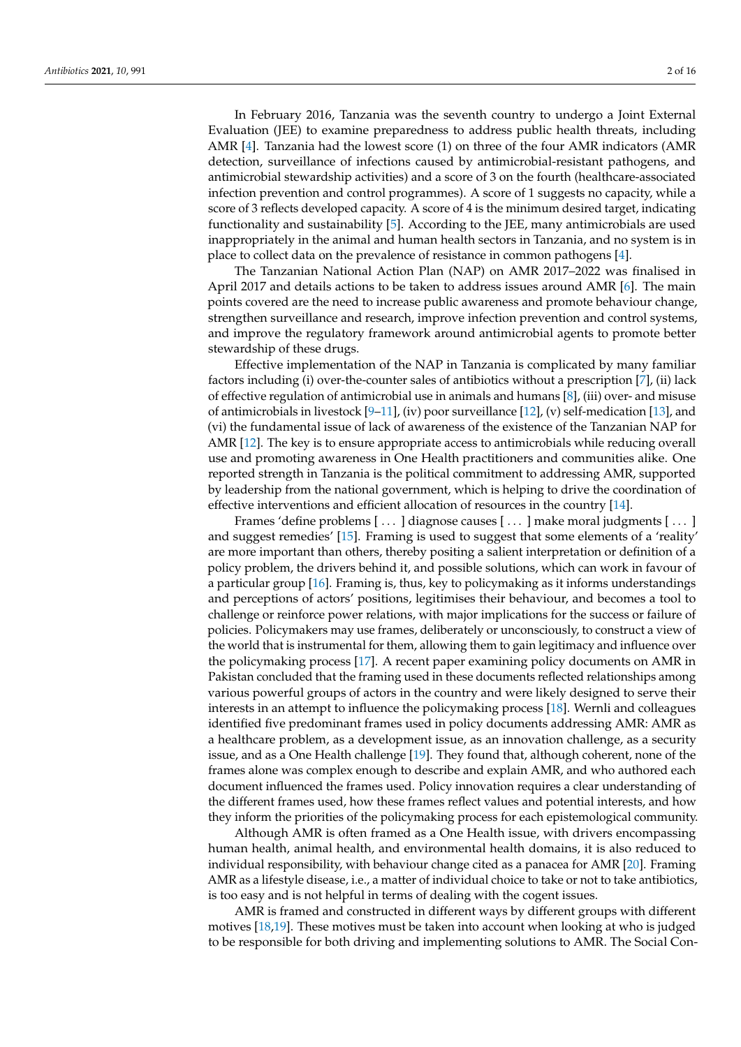In February 2016, Tanzania was the seventh country to undergo a Joint External Evaluation (JEE) to examine preparedness to address public health threats, including AMR [\[4\]](#page-14-3). Tanzania had the lowest score (1) on three of the four AMR indicators (AMR detection, surveillance of infections caused by antimicrobial-resistant pathogens, and antimicrobial stewardship activities) and a score of 3 on the fourth (healthcare-associated infection prevention and control programmes). A score of 1 suggests no capacity, while a score of 3 reflects developed capacity. A score of 4 is the minimum desired target, indicating functionality and sustainability [\[5\]](#page-14-4). According to the JEE, many antimicrobials are used inappropriately in the animal and human health sectors in Tanzania, and no system is in place to collect data on the prevalence of resistance in common pathogens [\[4\]](#page-14-3).

The Tanzanian National Action Plan (NAP) on AMR 2017–2022 was finalised in April 2017 and details actions to be taken to address issues around AMR [\[6\]](#page-14-5). The main points covered are the need to increase public awareness and promote behaviour change, strengthen surveillance and research, improve infection prevention and control systems, and improve the regulatory framework around antimicrobial agents to promote better stewardship of these drugs.

Effective implementation of the NAP in Tanzania is complicated by many familiar factors including (i) over-the-counter sales of antibiotics without a prescription [\[7\]](#page-14-6), (ii) lack of effective regulation of antimicrobial use in animals and humans [\[8\]](#page-14-7), (iii) over- and misuse of antimicrobials in livestock [\[9–](#page-14-8)[11\]](#page-14-9), (iv) poor surveillance [\[12\]](#page-15-0), (v) self-medication [\[13\]](#page-15-1), and (vi) the fundamental issue of lack of awareness of the existence of the Tanzanian NAP for AMR [\[12\]](#page-15-0). The key is to ensure appropriate access to antimicrobials while reducing overall use and promoting awareness in One Health practitioners and communities alike. One reported strength in Tanzania is the political commitment to addressing AMR, supported by leadership from the national government, which is helping to drive the coordination of effective interventions and efficient allocation of resources in the country [\[14\]](#page-15-2).

Frames 'define problems [...] diagnose causes [...] make moral judgments [...] and suggest remedies' [\[15\]](#page-15-3). Framing is used to suggest that some elements of a 'reality' are more important than others, thereby positing a salient interpretation or definition of a policy problem, the drivers behind it, and possible solutions, which can work in favour of a particular group [\[16\]](#page-15-4). Framing is, thus, key to policymaking as it informs understandings and perceptions of actors' positions, legitimises their behaviour, and becomes a tool to challenge or reinforce power relations, with major implications for the success or failure of policies. Policymakers may use frames, deliberately or unconsciously, to construct a view of the world that is instrumental for them, allowing them to gain legitimacy and influence over the policymaking process [\[17\]](#page-15-5). A recent paper examining policy documents on AMR in Pakistan concluded that the framing used in these documents reflected relationships among various powerful groups of actors in the country and were likely designed to serve their interests in an attempt to influence the policymaking process [\[18\]](#page-15-6). Wernli and colleagues identified five predominant frames used in policy documents addressing AMR: AMR as a healthcare problem, as a development issue, as an innovation challenge, as a security issue, and as a One Health challenge [\[19\]](#page-15-7). They found that, although coherent, none of the frames alone was complex enough to describe and explain AMR, and who authored each document influenced the frames used. Policy innovation requires a clear understanding of the different frames used, how these frames reflect values and potential interests, and how they inform the priorities of the policymaking process for each epistemological community.

Although AMR is often framed as a One Health issue, with drivers encompassing human health, animal health, and environmental health domains, it is also reduced to individual responsibility, with behaviour change cited as a panacea for AMR [\[20\]](#page-15-8). Framing AMR as a lifestyle disease, i.e., a matter of individual choice to take or not to take antibiotics, is too easy and is not helpful in terms of dealing with the cogent issues.

AMR is framed and constructed in different ways by different groups with different motives [\[18,](#page-15-6)[19\]](#page-15-7). These motives must be taken into account when looking at who is judged to be responsible for both driving and implementing solutions to AMR. The Social Con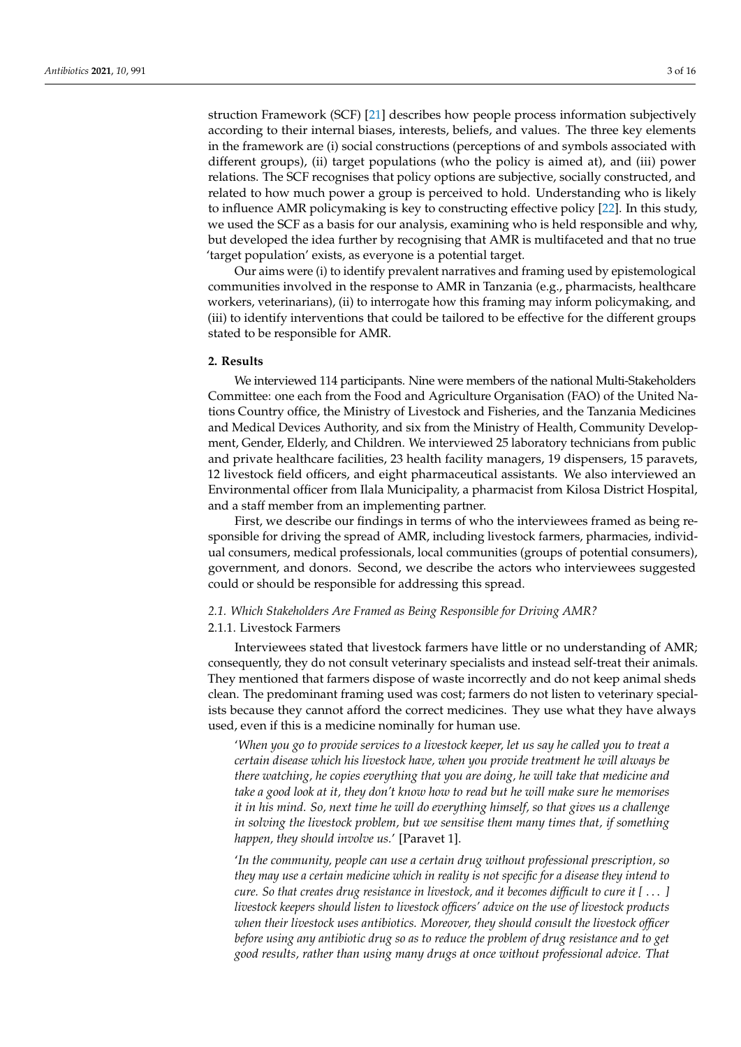struction Framework (SCF) [\[21\]](#page-15-9) describes how people process information subjectively according to their internal biases, interests, beliefs, and values. The three key elements in the framework are (i) social constructions (perceptions of and symbols associated with different groups), (ii) target populations (who the policy is aimed at), and (iii) power relations. The SCF recognises that policy options are subjective, socially constructed, and related to how much power a group is perceived to hold. Understanding who is likely to influence AMR policymaking is key to constructing effective policy [\[22\]](#page-15-10). In this study, we used the SCF as a basis for our analysis, examining who is held responsible and why, but developed the idea further by recognising that AMR is multifaceted and that no true 'target population' exists, as everyone is a potential target.

Our aims were (i) to identify prevalent narratives and framing used by epistemological communities involved in the response to AMR in Tanzania (e.g., pharmacists, healthcare workers, veterinarians), (ii) to interrogate how this framing may inform policymaking, and (iii) to identify interventions that could be tailored to be effective for the different groups stated to be responsible for AMR.

#### **2. Results**

We interviewed 114 participants. Nine were members of the national Multi-Stakeholders Committee: one each from the Food and Agriculture Organisation (FAO) of the United Nations Country office, the Ministry of Livestock and Fisheries, and the Tanzania Medicines and Medical Devices Authority, and six from the Ministry of Health, Community Development, Gender, Elderly, and Children. We interviewed 25 laboratory technicians from public and private healthcare facilities, 23 health facility managers, 19 dispensers, 15 paravets, 12 livestock field officers, and eight pharmaceutical assistants. We also interviewed an Environmental officer from Ilala Municipality, a pharmacist from Kilosa District Hospital, and a staff member from an implementing partner.

First, we describe our findings in terms of who the interviewees framed as being responsible for driving the spread of AMR, including livestock farmers, pharmacies, individual consumers, medical professionals, local communities (groups of potential consumers), government, and donors. Second, we describe the actors who interviewees suggested could or should be responsible for addressing this spread.

# *2.1. Which Stakeholders Are Framed as Being Responsible for Driving AMR?*

# 2.1.1. Livestock Farmers

Interviewees stated that livestock farmers have little or no understanding of AMR; consequently, they do not consult veterinary specialists and instead self-treat their animals. They mentioned that farmers dispose of waste incorrectly and do not keep animal sheds clean. The predominant framing used was cost; farmers do not listen to veterinary specialists because they cannot afford the correct medicines. They use what they have always used, even if this is a medicine nominally for human use.

'*When you go to provide services to a livestock keeper, let us say he called you to treat a certain disease which his livestock have, when you provide treatment he will always be there watching, he copies everything that you are doing, he will take that medicine and take a good look at it, they don't know how to read but he will make sure he memorises it in his mind. So, next time he will do everything himself, so that gives us a challenge in solving the livestock problem, but we sensitise them many times that, if something happen, they should involve us.*' [Paravet 1].

'*In the community, people can use a certain drug without professional prescription, so they may use a certain medicine which in reality is not specific for a disease they intend to cure. So that creates drug resistance in livestock, and it becomes difficult to cure it [* . . . *] livestock keepers should listen to livestock officers' advice on the use of livestock products when their livestock uses antibiotics. Moreover, they should consult the livestock officer before using any antibiotic drug so as to reduce the problem of drug resistance and to get good results, rather than using many drugs at once without professional advice. That*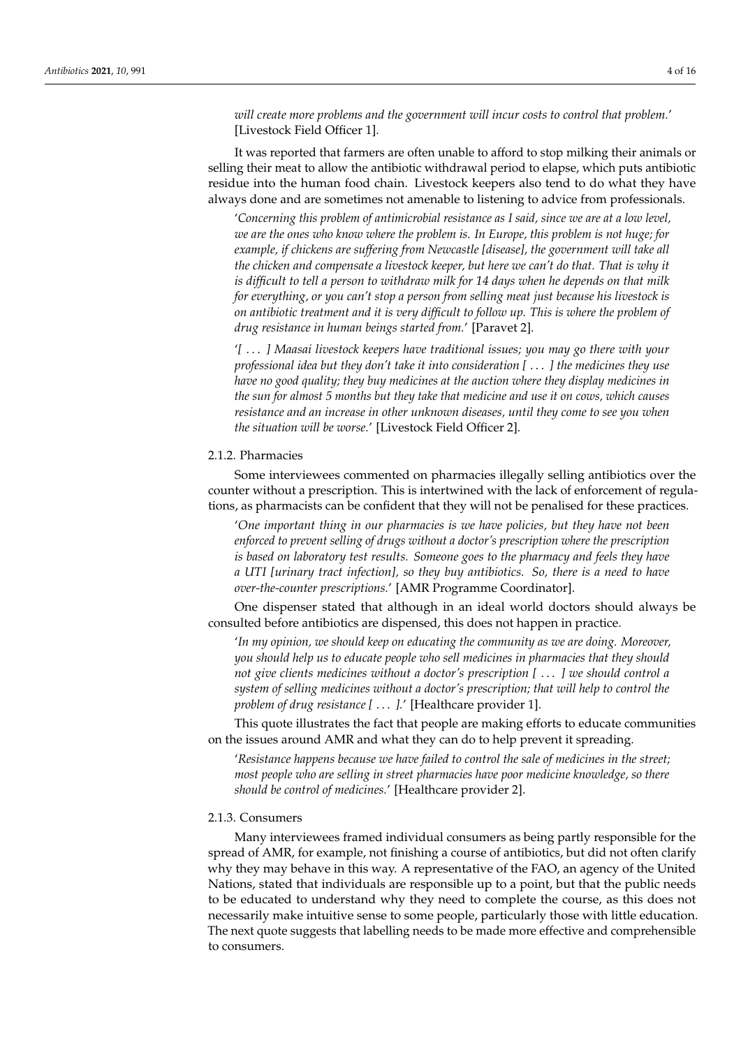*will create more problems and the government will incur costs to control that problem.*' [Livestock Field Officer 1].

It was reported that farmers are often unable to afford to stop milking their animals or selling their meat to allow the antibiotic withdrawal period to elapse, which puts antibiotic residue into the human food chain. Livestock keepers also tend to do what they have always done and are sometimes not amenable to listening to advice from professionals.

'*Concerning this problem of antimicrobial resistance as I said, since we are at a low level, we are the ones who know where the problem is. In Europe, this problem is not huge; for example, if chickens are suffering from Newcastle [disease], the government will take all the chicken and compensate a livestock keeper, but here we can't do that. That is why it is difficult to tell a person to withdraw milk for 14 days when he depends on that milk for everything, or you can't stop a person from selling meat just because his livestock is on antibiotic treatment and it is very difficult to follow up. This is where the problem of drug resistance in human beings started from.*' [Paravet 2].

'*[* . . . *] Maasai livestock keepers have traditional issues; you may go there with your professional idea but they don't take it into consideration [* . . . *] the medicines they use have no good quality; they buy medicines at the auction where they display medicines in the sun for almost 5 months but they take that medicine and use it on cows, which causes resistance and an increase in other unknown diseases, until they come to see you when the situation will be worse.*' [Livestock Field Officer 2].

# 2.1.2. Pharmacies

Some interviewees commented on pharmacies illegally selling antibiotics over the counter without a prescription. This is intertwined with the lack of enforcement of regulations, as pharmacists can be confident that they will not be penalised for these practices.

'*One important thing in our pharmacies is we have policies, but they have not been enforced to prevent selling of drugs without a doctor's prescription where the prescription is based on laboratory test results. Someone goes to the pharmacy and feels they have a UTI [urinary tract infection], so they buy antibiotics. So, there is a need to have over-the-counter prescriptions.*' [AMR Programme Coordinator].

One dispenser stated that although in an ideal world doctors should always be consulted before antibiotics are dispensed, this does not happen in practice.

'*In my opinion, we should keep on educating the community as we are doing. Moreover, you should help us to educate people who sell medicines in pharmacies that they should not give clients medicines without a doctor's prescription [* . . . *] we should control a system of selling medicines without a doctor's prescription; that will help to control the problem of drug resistance [* . . . *].*' [Healthcare provider 1].

This quote illustrates the fact that people are making efforts to educate communities on the issues around AMR and what they can do to help prevent it spreading.

'*Resistance happens because we have failed to control the sale of medicines in the street; most people who are selling in street pharmacies have poor medicine knowledge, so there should be control of medicines.*' [Healthcare provider 2].

# 2.1.3. Consumers

Many interviewees framed individual consumers as being partly responsible for the spread of AMR, for example, not finishing a course of antibiotics, but did not often clarify why they may behave in this way. A representative of the FAO, an agency of the United Nations, stated that individuals are responsible up to a point, but that the public needs to be educated to understand why they need to complete the course, as this does not necessarily make intuitive sense to some people, particularly those with little education. The next quote suggests that labelling needs to be made more effective and comprehensible to consumers.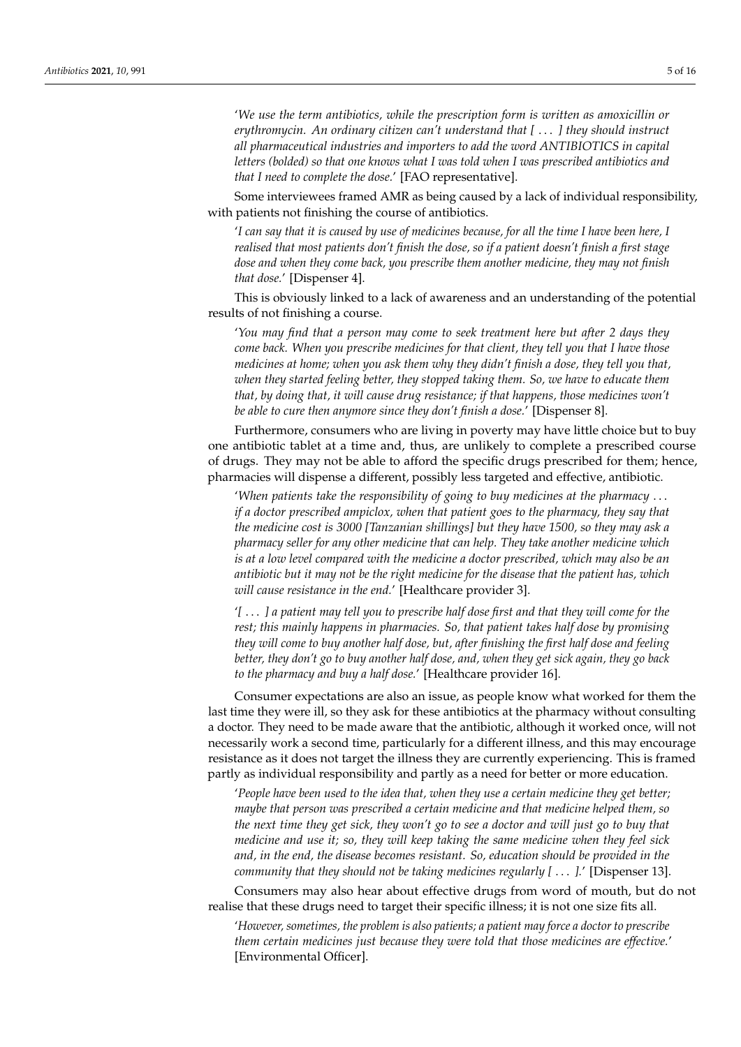'*We use the term antibiotics, while the prescription form is written as amoxicillin or erythromycin. An ordinary citizen can't understand that [* . . . *] they should instruct all pharmaceutical industries and importers to add the word ANTIBIOTICS in capital letters (bolded) so that one knows what I was told when I was prescribed antibiotics and that I need to complete the dose.*' [FAO representative].

Some interviewees framed AMR as being caused by a lack of individual responsibility, with patients not finishing the course of antibiotics.

'*I can say that it is caused by use of medicines because, for all the time I have been here, I realised that most patients don't finish the dose, so if a patient doesn't finish a first stage dose and when they come back, you prescribe them another medicine, they may not finish that dose.*' [Dispenser 4].

This is obviously linked to a lack of awareness and an understanding of the potential results of not finishing a course.

'*You may find that a person may come to seek treatment here but after 2 days they come back. When you prescribe medicines for that client, they tell you that I have those medicines at home; when you ask them why they didn't finish a dose, they tell you that, when they started feeling better, they stopped taking them. So, we have to educate them that, by doing that, it will cause drug resistance; if that happens, those medicines won't be able to cure then anymore since they don't finish a dose.*' [Dispenser 8].

Furthermore, consumers who are living in poverty may have little choice but to buy one antibiotic tablet at a time and, thus, are unlikely to complete a prescribed course of drugs. They may not be able to afford the specific drugs prescribed for them; hence, pharmacies will dispense a different, possibly less targeted and effective, antibiotic.

'*When patients take the responsibility of going to buy medicines at the pharmacy* . . . *if a doctor prescribed ampiclox, when that patient goes to the pharmacy, they say that the medicine cost is 3000 [Tanzanian shillings] but they have 1500, so they may ask a pharmacy seller for any other medicine that can help. They take another medicine which is at a low level compared with the medicine a doctor prescribed, which may also be an antibiotic but it may not be the right medicine for the disease that the patient has, which will cause resistance in the end.*' [Healthcare provider 3].

'*[* . . . *] a patient may tell you to prescribe half dose first and that they will come for the rest; this mainly happens in pharmacies. So, that patient takes half dose by promising they will come to buy another half dose, but, after finishing the first half dose and feeling better, they don't go to buy another half dose, and, when they get sick again, they go back to the pharmacy and buy a half dose.*' [Healthcare provider 16].

Consumer expectations are also an issue, as people know what worked for them the last time they were ill, so they ask for these antibiotics at the pharmacy without consulting a doctor. They need to be made aware that the antibiotic, although it worked once, will not necessarily work a second time, particularly for a different illness, and this may encourage resistance as it does not target the illness they are currently experiencing. This is framed partly as individual responsibility and partly as a need for better or more education.

'*People have been used to the idea that, when they use a certain medicine they get better; maybe that person was prescribed a certain medicine and that medicine helped them, so the next time they get sick, they won't go to see a doctor and will just go to buy that medicine and use it; so, they will keep taking the same medicine when they feel sick and, in the end, the disease becomes resistant. So, education should be provided in the community that they should not be taking medicines regularly [* . . . *].*' [Dispenser 13].

Consumers may also hear about effective drugs from word of mouth, but do not realise that these drugs need to target their specific illness; it is not one size fits all.

'*However, sometimes, the problem is also patients; a patient may force a doctor to prescribe them certain medicines just because they were told that those medicines are effective.*' [Environmental Officer].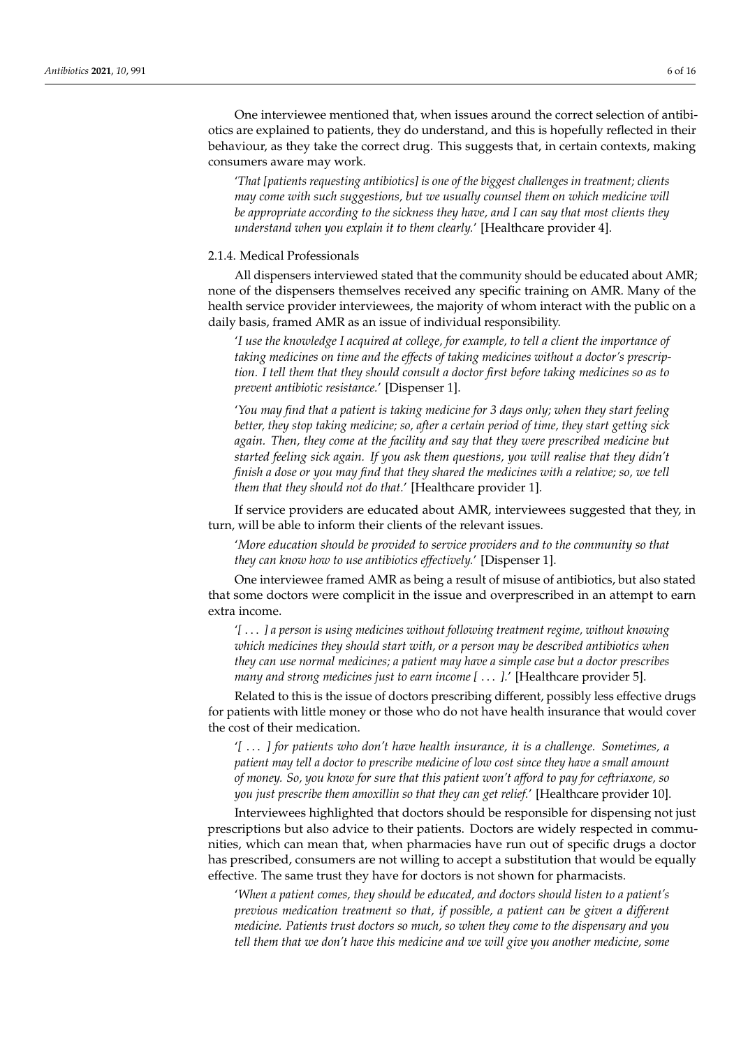One interviewee mentioned that, when issues around the correct selection of antibiotics are explained to patients, they do understand, and this is hopefully reflected in their behaviour, as they take the correct drug. This suggests that, in certain contexts, making consumers aware may work.

'*That [patients requesting antibiotics] is one of the biggest challenges in treatment; clients may come with such suggestions, but we usually counsel them on which medicine will be appropriate according to the sickness they have, and I can say that most clients they understand when you explain it to them clearly.*' [Healthcare provider 4].

#### 2.1.4. Medical Professionals

All dispensers interviewed stated that the community should be educated about AMR; none of the dispensers themselves received any specific training on AMR. Many of the health service provider interviewees, the majority of whom interact with the public on a daily basis, framed AMR as an issue of individual responsibility.

'*I use the knowledge I acquired at college, for example, to tell a client the importance of taking medicines on time and the effects of taking medicines without a doctor's prescription. I tell them that they should consult a doctor first before taking medicines so as to prevent antibiotic resistance.*' [Dispenser 1].

'*You may find that a patient is taking medicine for 3 days only; when they start feeling better, they stop taking medicine; so, after a certain period of time, they start getting sick again. Then, they come at the facility and say that they were prescribed medicine but started feeling sick again. If you ask them questions, you will realise that they didn't finish a dose or you may find that they shared the medicines with a relative; so, we tell them that they should not do that.*' [Healthcare provider 1].

If service providers are educated about AMR, interviewees suggested that they, in turn, will be able to inform their clients of the relevant issues.

'*More education should be provided to service providers and to the community so that they can know how to use antibiotics effectively.*' [Dispenser 1].

One interviewee framed AMR as being a result of misuse of antibiotics, but also stated that some doctors were complicit in the issue and overprescribed in an attempt to earn extra income.

'*[* . . . *] a person is using medicines without following treatment regime, without knowing which medicines they should start with, or a person may be described antibiotics when they can use normal medicines; a patient may have a simple case but a doctor prescribes many and strong medicines just to earn income [* . . . *].*' [Healthcare provider 5].

Related to this is the issue of doctors prescribing different, possibly less effective drugs for patients with little money or those who do not have health insurance that would cover the cost of their medication.

'*[* . . . *] for patients who don't have health insurance, it is a challenge. Sometimes, a patient may tell a doctor to prescribe medicine of low cost since they have a small amount of money. So, you know for sure that this patient won't afford to pay for ceftriaxone, so you just prescribe them amoxillin so that they can get relief.*' [Healthcare provider 10].

Interviewees highlighted that doctors should be responsible for dispensing not just prescriptions but also advice to their patients. Doctors are widely respected in communities, which can mean that, when pharmacies have run out of specific drugs a doctor has prescribed, consumers are not willing to accept a substitution that would be equally effective. The same trust they have for doctors is not shown for pharmacists.

'*When a patient comes, they should be educated, and doctors should listen to a patient's previous medication treatment so that, if possible, a patient can be given a different medicine. Patients trust doctors so much, so when they come to the dispensary and you tell them that we don't have this medicine and we will give you another medicine, some*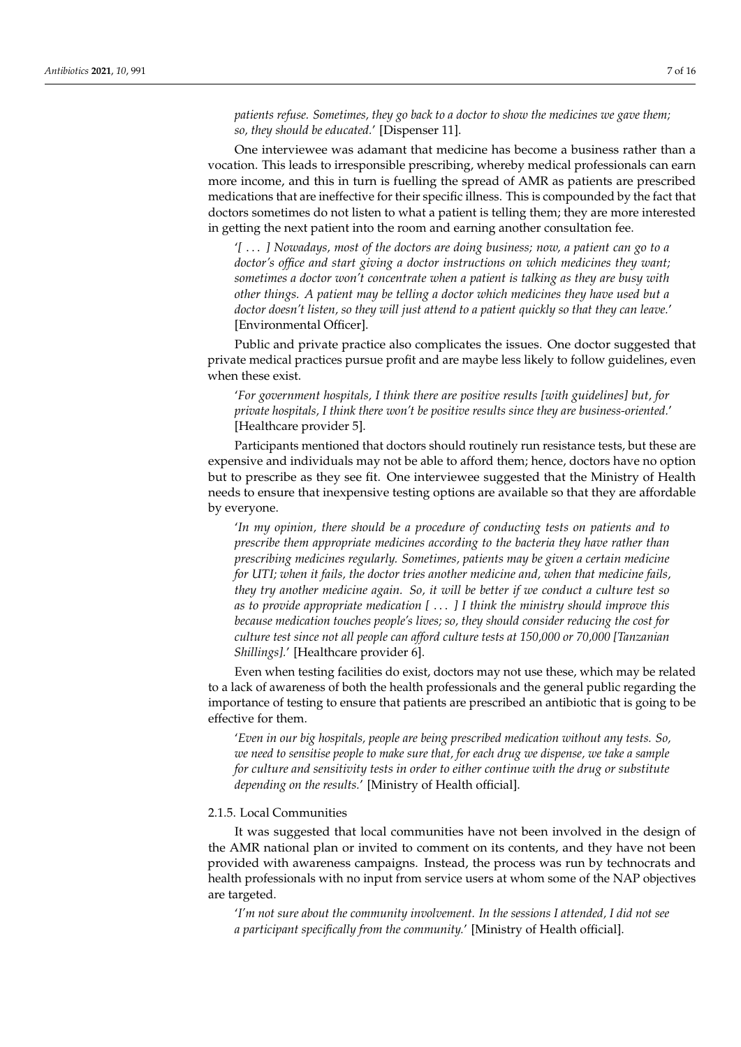*patients refuse. Sometimes, they go back to a doctor to show the medicines we gave them; so, they should be educated.*' [Dispenser 11].

One interviewee was adamant that medicine has become a business rather than a vocation. This leads to irresponsible prescribing, whereby medical professionals can earn more income, and this in turn is fuelling the spread of AMR as patients are prescribed medications that are ineffective for their specific illness. This is compounded by the fact that doctors sometimes do not listen to what a patient is telling them; they are more interested in getting the next patient into the room and earning another consultation fee.

'*[* . . . *] Nowadays, most of the doctors are doing business; now, a patient can go to a doctor's office and start giving a doctor instructions on which medicines they want; sometimes a doctor won't concentrate when a patient is talking as they are busy with other things. A patient may be telling a doctor which medicines they have used but a doctor doesn't listen, so they will just attend to a patient quickly so that they can leave.*' [Environmental Officer].

Public and private practice also complicates the issues. One doctor suggested that private medical practices pursue profit and are maybe less likely to follow guidelines, even when these exist.

'*For government hospitals, I think there are positive results [with guidelines] but, for private hospitals, I think there won't be positive results since they are business-oriented.*' [Healthcare provider 5].

Participants mentioned that doctors should routinely run resistance tests, but these are expensive and individuals may not be able to afford them; hence, doctors have no option but to prescribe as they see fit. One interviewee suggested that the Ministry of Health needs to ensure that inexpensive testing options are available so that they are affordable by everyone.

'*In my opinion, there should be a procedure of conducting tests on patients and to prescribe them appropriate medicines according to the bacteria they have rather than prescribing medicines regularly. Sometimes, patients may be given a certain medicine for UTI; when it fails, the doctor tries another medicine and, when that medicine fails, they try another medicine again. So, it will be better if we conduct a culture test so as to provide appropriate medication [* . . . *] I think the ministry should improve this because medication touches people's lives; so, they should consider reducing the cost for culture test since not all people can afford culture tests at 150,000 or 70,000 [Tanzanian Shillings].*' [Healthcare provider 6].

Even when testing facilities do exist, doctors may not use these, which may be related to a lack of awareness of both the health professionals and the general public regarding the importance of testing to ensure that patients are prescribed an antibiotic that is going to be effective for them.

'*Even in our big hospitals, people are being prescribed medication without any tests. So, we need to sensitise people to make sure that, for each drug we dispense, we take a sample for culture and sensitivity tests in order to either continue with the drug or substitute depending on the results.*' [Ministry of Health official].

## 2.1.5. Local Communities

It was suggested that local communities have not been involved in the design of the AMR national plan or invited to comment on its contents, and they have not been provided with awareness campaigns. Instead, the process was run by technocrats and health professionals with no input from service users at whom some of the NAP objectives are targeted.

'*I'm not sure about the community involvement. In the sessions I attended, I did not see a participant specifically from the community.*' [Ministry of Health official].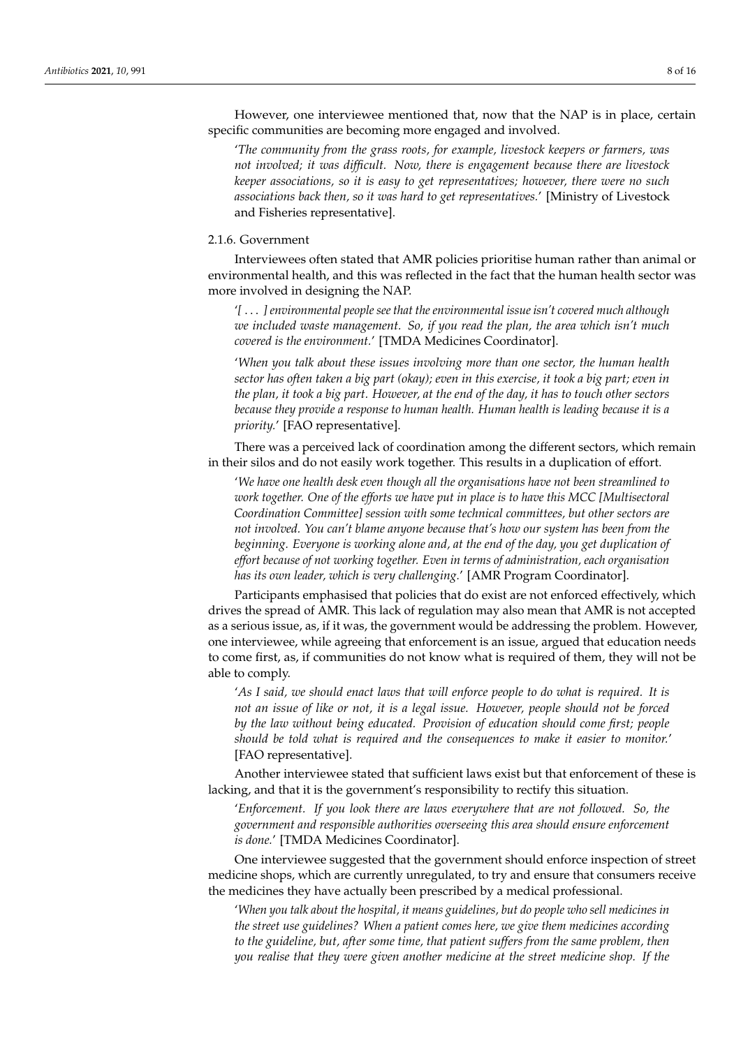However, one interviewee mentioned that, now that the NAP is in place, certain specific communities are becoming more engaged and involved.

'*The community from the grass roots, for example, livestock keepers or farmers, was not involved; it was difficult. Now, there is engagement because there are livestock keeper associations, so it is easy to get representatives; however, there were no such associations back then, so it was hard to get representatives.*' [Ministry of Livestock and Fisheries representative].

#### 2.1.6. Government

Interviewees often stated that AMR policies prioritise human rather than animal or environmental health, and this was reflected in the fact that the human health sector was more involved in designing the NAP.

'*[* . . . *] environmental people see that the environmental issue isn't covered much although we included waste management. So, if you read the plan, the area which isn't much covered is the environment.*' [TMDA Medicines Coordinator].

'*When you talk about these issues involving more than one sector, the human health sector has often taken a big part (okay); even in this exercise, it took a big part; even in the plan, it took a big part. However, at the end of the day, it has to touch other sectors because they provide a response to human health. Human health is leading because it is a priority.*' [FAO representative].

There was a perceived lack of coordination among the different sectors, which remain in their silos and do not easily work together. This results in a duplication of effort.

'*We have one health desk even though all the organisations have not been streamlined to work together. One of the efforts we have put in place is to have this MCC [Multisectoral Coordination Committee] session with some technical committees, but other sectors are not involved. You can't blame anyone because that's how our system has been from the beginning. Everyone is working alone and, at the end of the day, you get duplication of effort because of not working together. Even in terms of administration, each organisation has its own leader, which is very challenging.*' [AMR Program Coordinator].

Participants emphasised that policies that do exist are not enforced effectively, which drives the spread of AMR. This lack of regulation may also mean that AMR is not accepted as a serious issue, as, if it was, the government would be addressing the problem. However, one interviewee, while agreeing that enforcement is an issue, argued that education needs to come first, as, if communities do not know what is required of them, they will not be able to comply.

'*As I said, we should enact laws that will enforce people to do what is required. It is not an issue of like or not, it is a legal issue. However, people should not be forced by the law without being educated. Provision of education should come first; people should be told what is required and the consequences to make it easier to monitor.*' [FAO representative].

Another interviewee stated that sufficient laws exist but that enforcement of these is lacking, and that it is the government's responsibility to rectify this situation.

'*Enforcement. If you look there are laws everywhere that are not followed. So, the government and responsible authorities overseeing this area should ensure enforcement is done.*' [TMDA Medicines Coordinator].

One interviewee suggested that the government should enforce inspection of street medicine shops, which are currently unregulated, to try and ensure that consumers receive the medicines they have actually been prescribed by a medical professional.

'*When you talk about the hospital, it means guidelines, but do people who sell medicines in the street use guidelines? When a patient comes here, we give them medicines according to the guideline, but, after some time, that patient suffers from the same problem, then you realise that they were given another medicine at the street medicine shop. If the*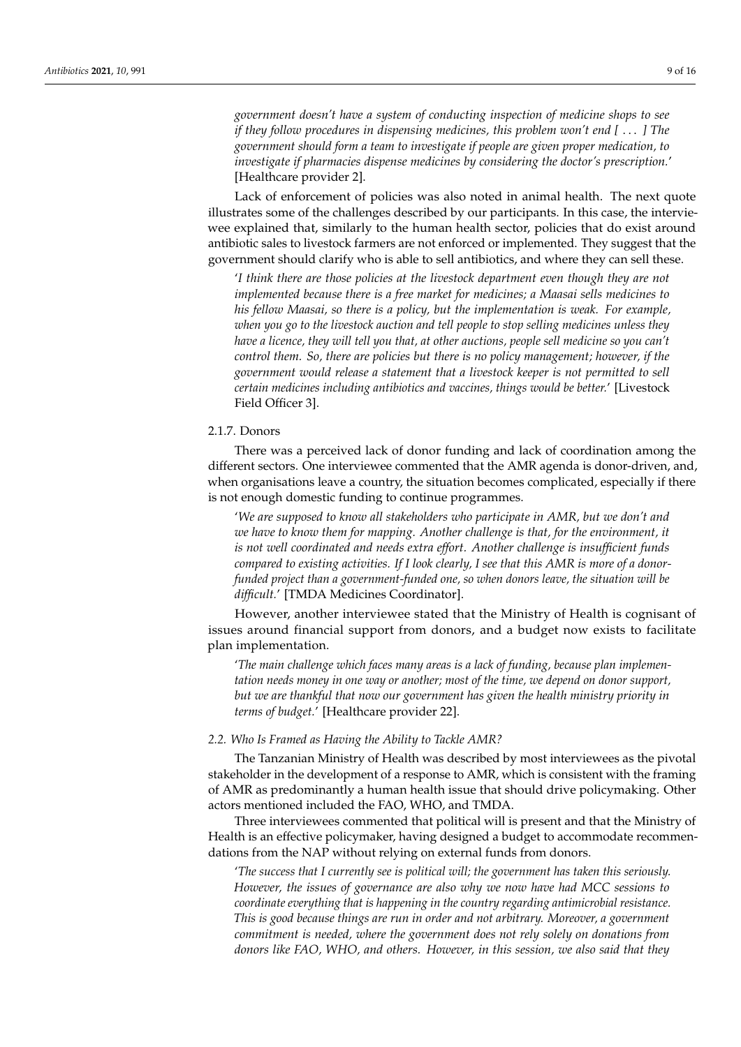*government doesn't have a system of conducting inspection of medicine shops to see if they follow procedures in dispensing medicines, this problem won't end [* . . . *] The government should form a team to investigate if people are given proper medication, to investigate if pharmacies dispense medicines by considering the doctor's prescription.*' [Healthcare provider 2].

Lack of enforcement of policies was also noted in animal health. The next quote illustrates some of the challenges described by our participants. In this case, the interviewee explained that, similarly to the human health sector, policies that do exist around antibiotic sales to livestock farmers are not enforced or implemented. They suggest that the government should clarify who is able to sell antibiotics, and where they can sell these.

'*I think there are those policies at the livestock department even though they are not implemented because there is a free market for medicines; a Maasai sells medicines to his fellow Maasai, so there is a policy, but the implementation is weak. For example, when you go to the livestock auction and tell people to stop selling medicines unless they have a licence, they will tell you that, at other auctions, people sell medicine so you can't control them. So, there are policies but there is no policy management; however, if the government would release a statement that a livestock keeper is not permitted to sell certain medicines including antibiotics and vaccines, things would be better.*' [Livestock Field Officer 3].

# 2.1.7. Donors

There was a perceived lack of donor funding and lack of coordination among the different sectors. One interviewee commented that the AMR agenda is donor-driven, and, when organisations leave a country, the situation becomes complicated, especially if there is not enough domestic funding to continue programmes.

'*We are supposed to know all stakeholders who participate in AMR, but we don't and we have to know them for mapping. Another challenge is that, for the environment, it is not well coordinated and needs extra effort. Another challenge is insufficient funds compared to existing activities. If I look clearly, I see that this AMR is more of a donorfunded project than a government-funded one, so when donors leave, the situation will be difficult.*' [TMDA Medicines Coordinator].

However, another interviewee stated that the Ministry of Health is cognisant of issues around financial support from donors, and a budget now exists to facilitate plan implementation.

'*The main challenge which faces many areas is a lack of funding, because plan implementation needs money in one way or another; most of the time, we depend on donor support, but we are thankful that now our government has given the health ministry priority in terms of budget.*' [Healthcare provider 22].

## *2.2. Who Is Framed as Having the Ability to Tackle AMR?*

The Tanzanian Ministry of Health was described by most interviewees as the pivotal stakeholder in the development of a response to AMR, which is consistent with the framing of AMR as predominantly a human health issue that should drive policymaking. Other actors mentioned included the FAO, WHO, and TMDA.

Three interviewees commented that political will is present and that the Ministry of Health is an effective policymaker, having designed a budget to accommodate recommendations from the NAP without relying on external funds from donors.

'*The success that I currently see is political will; the government has taken this seriously. However, the issues of governance are also why we now have had MCC sessions to coordinate everything that is happening in the country regarding antimicrobial resistance. This is good because things are run in order and not arbitrary. Moreover, a government commitment is needed, where the government does not rely solely on donations from donors like FAO, WHO, and others. However, in this session, we also said that they*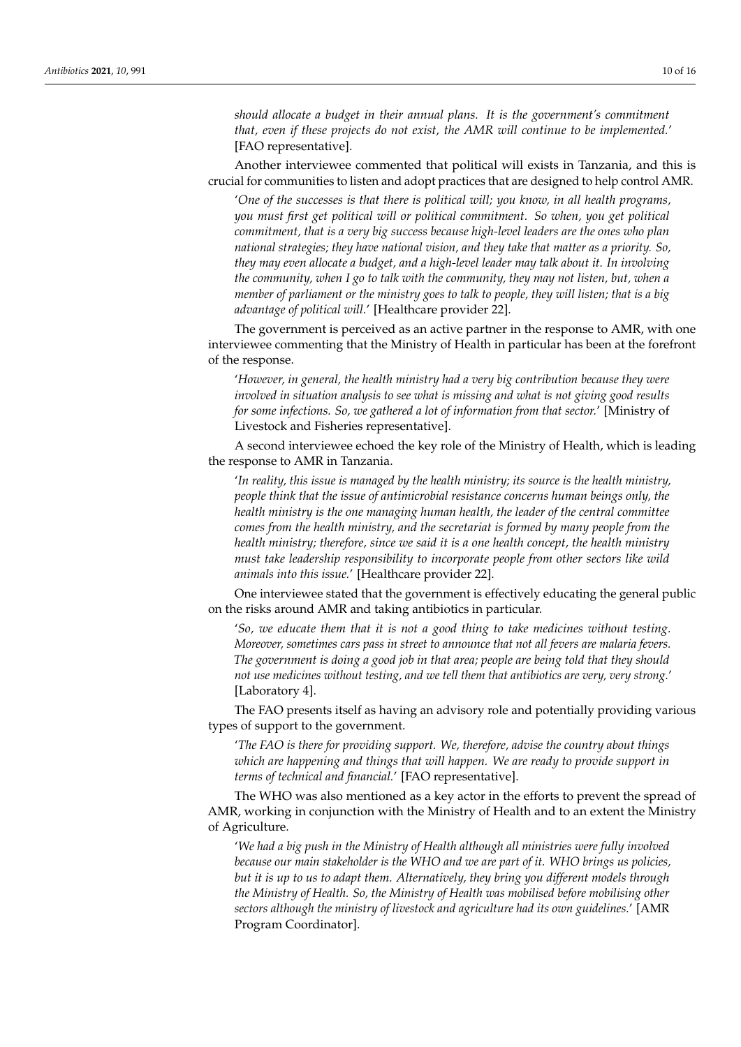*should allocate a budget in their annual plans. It is the government's commitment that, even if these projects do not exist, the AMR will continue to be implemented.*' [FAO representative].

Another interviewee commented that political will exists in Tanzania, and this is crucial for communities to listen and adopt practices that are designed to help control AMR.

'*One of the successes is that there is political will; you know, in all health programs, you must first get political will or political commitment. So when, you get political commitment, that is a very big success because high-level leaders are the ones who plan national strategies; they have national vision, and they take that matter as a priority. So, they may even allocate a budget, and a high-level leader may talk about it. In involving the community, when I go to talk with the community, they may not listen, but, when a member of parliament or the ministry goes to talk to people, they will listen; that is a big advantage of political will.*' [Healthcare provider 22].

The government is perceived as an active partner in the response to AMR, with one interviewee commenting that the Ministry of Health in particular has been at the forefront of the response.

'*However, in general, the health ministry had a very big contribution because they were involved in situation analysis to see what is missing and what is not giving good results for some infections. So, we gathered a lot of information from that sector.*' [Ministry of Livestock and Fisheries representative].

A second interviewee echoed the key role of the Ministry of Health, which is leading the response to AMR in Tanzania.

'*In reality, this issue is managed by the health ministry; its source is the health ministry, people think that the issue of antimicrobial resistance concerns human beings only, the health ministry is the one managing human health, the leader of the central committee comes from the health ministry, and the secretariat is formed by many people from the health ministry; therefore, since we said it is a one health concept, the health ministry must take leadership responsibility to incorporate people from other sectors like wild animals into this issue.*' [Healthcare provider 22].

One interviewee stated that the government is effectively educating the general public on the risks around AMR and taking antibiotics in particular.

'*So, we educate them that it is not a good thing to take medicines without testing. Moreover, sometimes cars pass in street to announce that not all fevers are malaria fevers. The government is doing a good job in that area; people are being told that they should not use medicines without testing, and we tell them that antibiotics are very, very strong.*' [Laboratory 4].

The FAO presents itself as having an advisory role and potentially providing various types of support to the government.

'*The FAO is there for providing support. We, therefore, advise the country about things which are happening and things that will happen. We are ready to provide support in terms of technical and financial.*' [FAO representative].

The WHO was also mentioned as a key actor in the efforts to prevent the spread of AMR, working in conjunction with the Ministry of Health and to an extent the Ministry of Agriculture.

'*We had a big push in the Ministry of Health although all ministries were fully involved because our main stakeholder is the WHO and we are part of it. WHO brings us policies, but it is up to us to adapt them. Alternatively, they bring you different models through the Ministry of Health. So, the Ministry of Health was mobilised before mobilising other sectors although the ministry of livestock and agriculture had its own guidelines.*' [AMR Program Coordinator].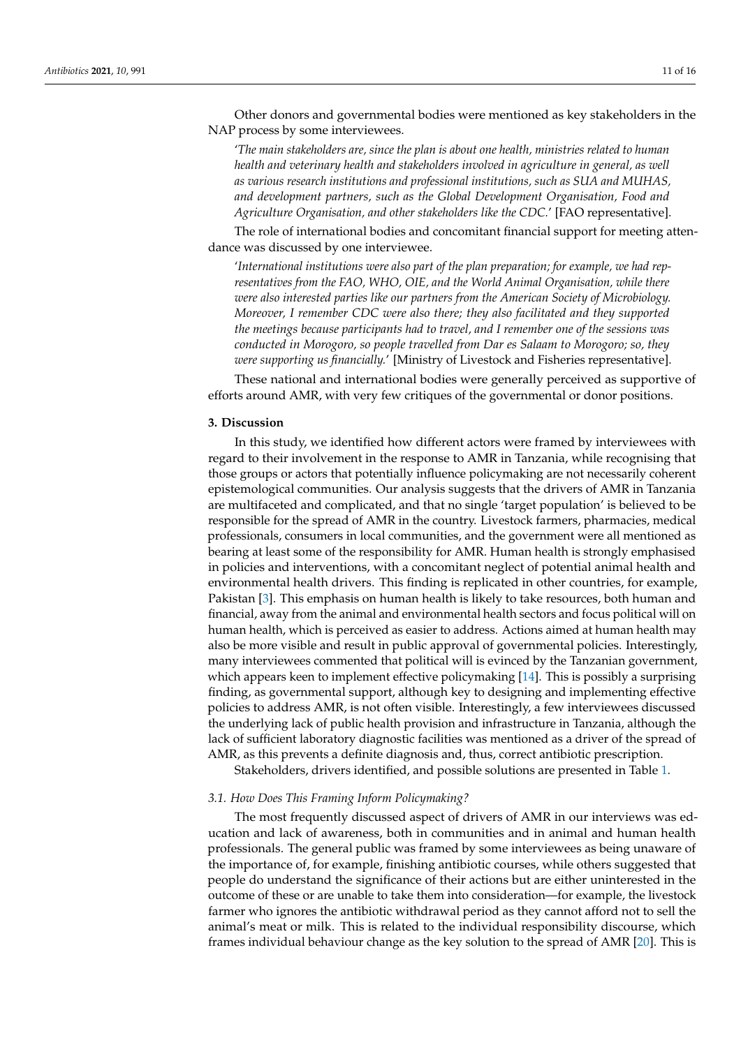Other donors and governmental bodies were mentioned as key stakeholders in the NAP process by some interviewees.

'*The main stakeholders are, since the plan is about one health, ministries related to human health and veterinary health and stakeholders involved in agriculture in general, as well as various research institutions and professional institutions, such as SUA and MUHAS, and development partners, such as the Global Development Organisation, Food and Agriculture Organisation, and other stakeholders like the CDC.*' [FAO representative].

The role of international bodies and concomitant financial support for meeting attendance was discussed by one interviewee.

'*International institutions were also part of the plan preparation; for example, we had representatives from the FAO, WHO, OIE, and the World Animal Organisation, while there were also interested parties like our partners from the American Society of Microbiology. Moreover, I remember CDC were also there; they also facilitated and they supported the meetings because participants had to travel, and I remember one of the sessions was conducted in Morogoro, so people travelled from Dar es Salaam to Morogoro; so, they were supporting us financially.*' [Ministry of Livestock and Fisheries representative].

These national and international bodies were generally perceived as supportive of efforts around AMR, with very few critiques of the governmental or donor positions.

## **3. Discussion**

In this study, we identified how different actors were framed by interviewees with regard to their involvement in the response to AMR in Tanzania, while recognising that those groups or actors that potentially influence policymaking are not necessarily coherent epistemological communities. Our analysis suggests that the drivers of AMR in Tanzania are multifaceted and complicated, and that no single 'target population' is believed to be responsible for the spread of AMR in the country. Livestock farmers, pharmacies, medical professionals, consumers in local communities, and the government were all mentioned as bearing at least some of the responsibility for AMR. Human health is strongly emphasised in policies and interventions, with a concomitant neglect of potential animal health and environmental health drivers. This finding is replicated in other countries, for example, Pakistan [\[3\]](#page-14-2). This emphasis on human health is likely to take resources, both human and financial, away from the animal and environmental health sectors and focus political will on human health, which is perceived as easier to address. Actions aimed at human health may also be more visible and result in public approval of governmental policies. Interestingly, many interviewees commented that political will is evinced by the Tanzanian government, which appears keen to implement effective policymaking [\[14\]](#page-15-2). This is possibly a surprising finding, as governmental support, although key to designing and implementing effective policies to address AMR, is not often visible. Interestingly, a few interviewees discussed the underlying lack of public health provision and infrastructure in Tanzania, although the lack of sufficient laboratory diagnostic facilities was mentioned as a driver of the spread of AMR, as this prevents a definite diagnosis and, thus, correct antibiotic prescription.

Stakeholders, drivers identified, and possible solutions are presented in Table [1.](#page-11-0)

#### *3.1. How Does This Framing Inform Policymaking?*

The most frequently discussed aspect of drivers of AMR in our interviews was education and lack of awareness, both in communities and in animal and human health professionals. The general public was framed by some interviewees as being unaware of the importance of, for example, finishing antibiotic courses, while others suggested that people do understand the significance of their actions but are either uninterested in the outcome of these or are unable to take them into consideration—for example, the livestock farmer who ignores the antibiotic withdrawal period as they cannot afford not to sell the animal's meat or milk. This is related to the individual responsibility discourse, which frames individual behaviour change as the key solution to the spread of AMR [\[20\]](#page-15-8). This is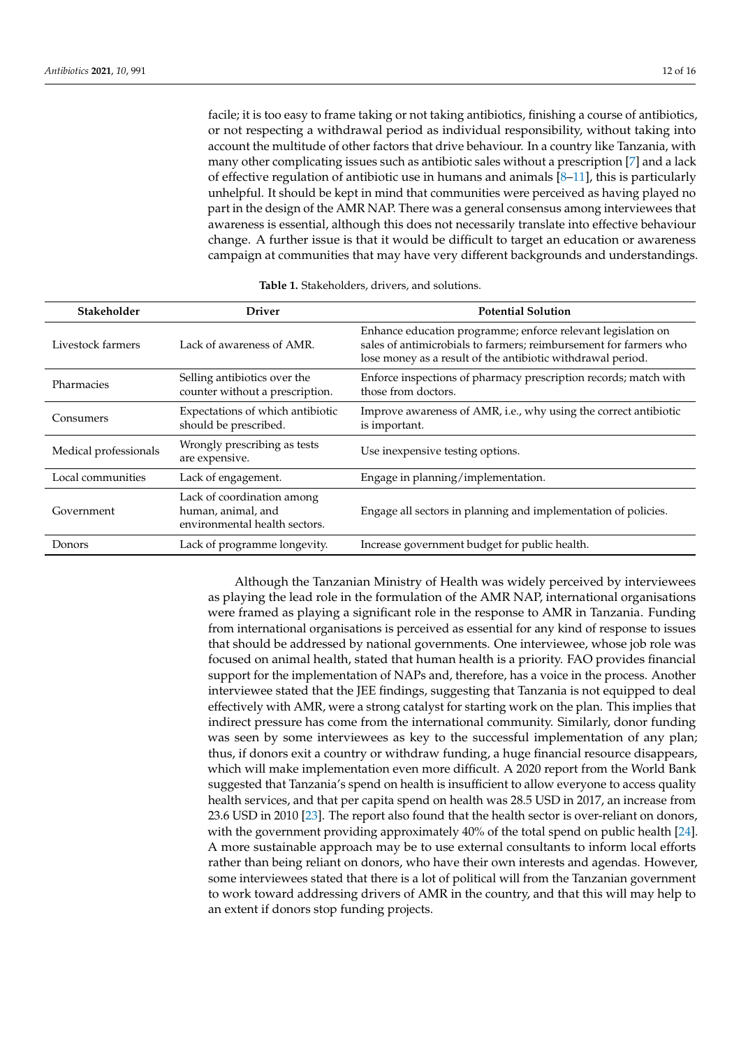facile; it is too easy to frame taking or not taking antibiotics, finishing a course of antibiotics, or not respecting a withdrawal period as individual responsibility, without taking into account the multitude of other factors that drive behaviour. In a country like Tanzania, with many other complicating issues such as antibiotic sales without a prescription [\[7\]](#page-14-6) and a lack of effective regulation of antibiotic use in humans and animals  $[8-11]$  $[8-11]$ , this is particularly unhelpful. It should be kept in mind that communities were perceived as having played no part in the design of the AMR NAP. There was a general consensus among interviewees that awareness is essential, although this does not necessarily translate into effective behaviour change. A further issue is that it would be difficult to target an education or awareness campaign at communities that may have very different backgrounds and understandings.

<span id="page-11-0"></span>

| Stakeholder           | <b>Driver</b>                                                                     | <b>Potential Solution</b>                                                                                                                                                                        |
|-----------------------|-----------------------------------------------------------------------------------|--------------------------------------------------------------------------------------------------------------------------------------------------------------------------------------------------|
| Livestock farmers     | Lack of awareness of AMR.                                                         | Enhance education programme; enforce relevant legislation on<br>sales of antimicrobials to farmers; reimbursement for farmers who<br>lose money as a result of the antibiotic withdrawal period. |
| Pharmacies            | Selling antibiotics over the<br>counter without a prescription.                   | Enforce inspections of pharmacy prescription records; match with<br>those from doctors.                                                                                                          |
| Consumers             | Expectations of which antibiotic<br>should be prescribed.                         | Improve awareness of AMR, i.e., why using the correct antibiotic<br>is important.                                                                                                                |
| Medical professionals | Wrongly prescribing as tests<br>are expensive.                                    | Use inexpensive testing options.                                                                                                                                                                 |
| Local communities     | Lack of engagement.                                                               | Engage in planning/implementation.                                                                                                                                                               |
| Government            | Lack of coordination among<br>human, animal, and<br>environmental health sectors. | Engage all sectors in planning and implementation of policies.                                                                                                                                   |
| Donors                | Lack of programme longevity.                                                      | Increase government budget for public health.                                                                                                                                                    |

Although the Tanzanian Ministry of Health was widely perceived by interviewees as playing the lead role in the formulation of the AMR NAP, international organisations were framed as playing a significant role in the response to AMR in Tanzania. Funding from international organisations is perceived as essential for any kind of response to issues that should be addressed by national governments. One interviewee, whose job role was focused on animal health, stated that human health is a priority. FAO provides financial support for the implementation of NAPs and, therefore, has a voice in the process. Another interviewee stated that the JEE findings, suggesting that Tanzania is not equipped to deal effectively with AMR, were a strong catalyst for starting work on the plan. This implies that indirect pressure has come from the international community. Similarly, donor funding was seen by some interviewees as key to the successful implementation of any plan; thus, if donors exit a country or withdraw funding, a huge financial resource disappears, which will make implementation even more difficult. A 2020 report from the World Bank suggested that Tanzania's spend on health is insufficient to allow everyone to access quality health services, and that per capita spend on health was 28.5 USD in 2017, an increase from 23.6 USD in 2010 [\[23\]](#page-15-11). The report also found that the health sector is over-reliant on donors, with the government providing approximately 40% of the total spend on public health [\[24\]](#page-15-12). A more sustainable approach may be to use external consultants to inform local efforts rather than being reliant on donors, who have their own interests and agendas. However, some interviewees stated that there is a lot of political will from the Tanzanian government to work toward addressing drivers of AMR in the country, and that this will may help to an extent if donors stop funding projects.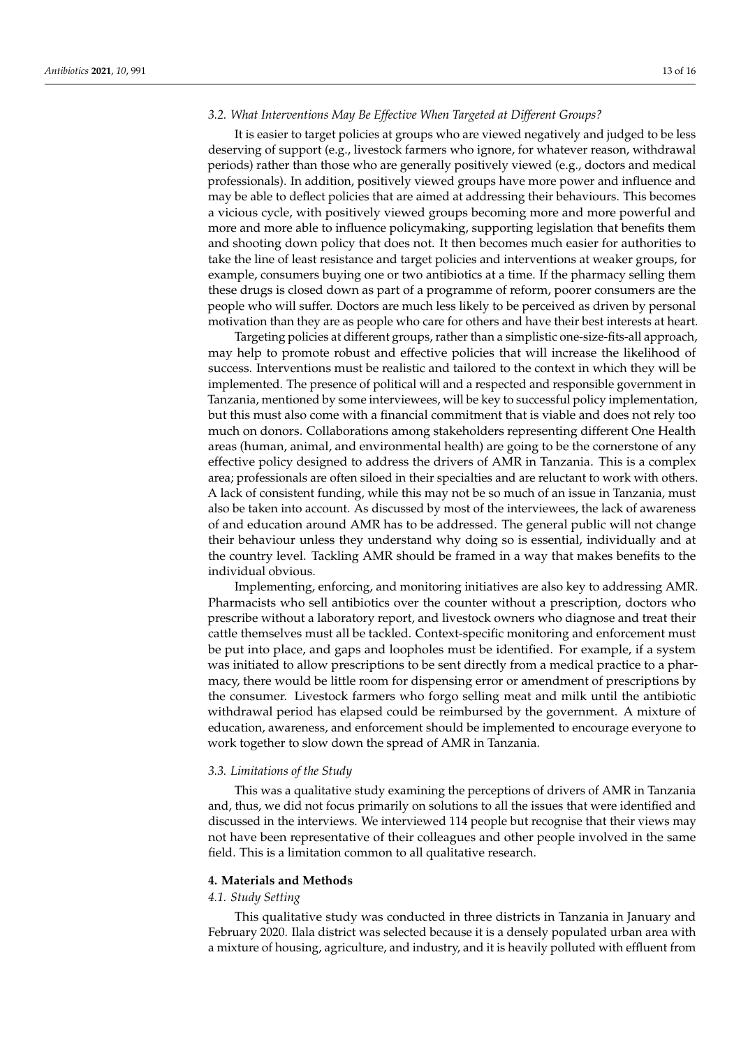## *3.2. What Interventions May Be Effective When Targeted at Different Groups?*

It is easier to target policies at groups who are viewed negatively and judged to be less deserving of support (e.g., livestock farmers who ignore, for whatever reason, withdrawal periods) rather than those who are generally positively viewed (e.g., doctors and medical professionals). In addition, positively viewed groups have more power and influence and may be able to deflect policies that are aimed at addressing their behaviours. This becomes a vicious cycle, with positively viewed groups becoming more and more powerful and more and more able to influence policymaking, supporting legislation that benefits them and shooting down policy that does not. It then becomes much easier for authorities to take the line of least resistance and target policies and interventions at weaker groups, for example, consumers buying one or two antibiotics at a time. If the pharmacy selling them these drugs is closed down as part of a programme of reform, poorer consumers are the people who will suffer. Doctors are much less likely to be perceived as driven by personal motivation than they are as people who care for others and have their best interests at heart.

Targeting policies at different groups, rather than a simplistic one-size-fits-all approach, may help to promote robust and effective policies that will increase the likelihood of success. Interventions must be realistic and tailored to the context in which they will be implemented. The presence of political will and a respected and responsible government in Tanzania, mentioned by some interviewees, will be key to successful policy implementation, but this must also come with a financial commitment that is viable and does not rely too much on donors. Collaborations among stakeholders representing different One Health areas (human, animal, and environmental health) are going to be the cornerstone of any effective policy designed to address the drivers of AMR in Tanzania. This is a complex area; professionals are often siloed in their specialties and are reluctant to work with others. A lack of consistent funding, while this may not be so much of an issue in Tanzania, must also be taken into account. As discussed by most of the interviewees, the lack of awareness of and education around AMR has to be addressed. The general public will not change their behaviour unless they understand why doing so is essential, individually and at the country level. Tackling AMR should be framed in a way that makes benefits to the individual obvious.

Implementing, enforcing, and monitoring initiatives are also key to addressing AMR. Pharmacists who sell antibiotics over the counter without a prescription, doctors who prescribe without a laboratory report, and livestock owners who diagnose and treat their cattle themselves must all be tackled. Context-specific monitoring and enforcement must be put into place, and gaps and loopholes must be identified. For example, if a system was initiated to allow prescriptions to be sent directly from a medical practice to a pharmacy, there would be little room for dispensing error or amendment of prescriptions by the consumer. Livestock farmers who forgo selling meat and milk until the antibiotic withdrawal period has elapsed could be reimbursed by the government. A mixture of education, awareness, and enforcement should be implemented to encourage everyone to work together to slow down the spread of AMR in Tanzania.

## *3.3. Limitations of the Study*

This was a qualitative study examining the perceptions of drivers of AMR in Tanzania and, thus, we did not focus primarily on solutions to all the issues that were identified and discussed in the interviews. We interviewed 114 people but recognise that their views may not have been representative of their colleagues and other people involved in the same field. This is a limitation common to all qualitative research.

# **4. Materials and Methods**

#### *4.1. Study Setting*

This qualitative study was conducted in three districts in Tanzania in January and February 2020. Ilala district was selected because it is a densely populated urban area with a mixture of housing, agriculture, and industry, and it is heavily polluted with effluent from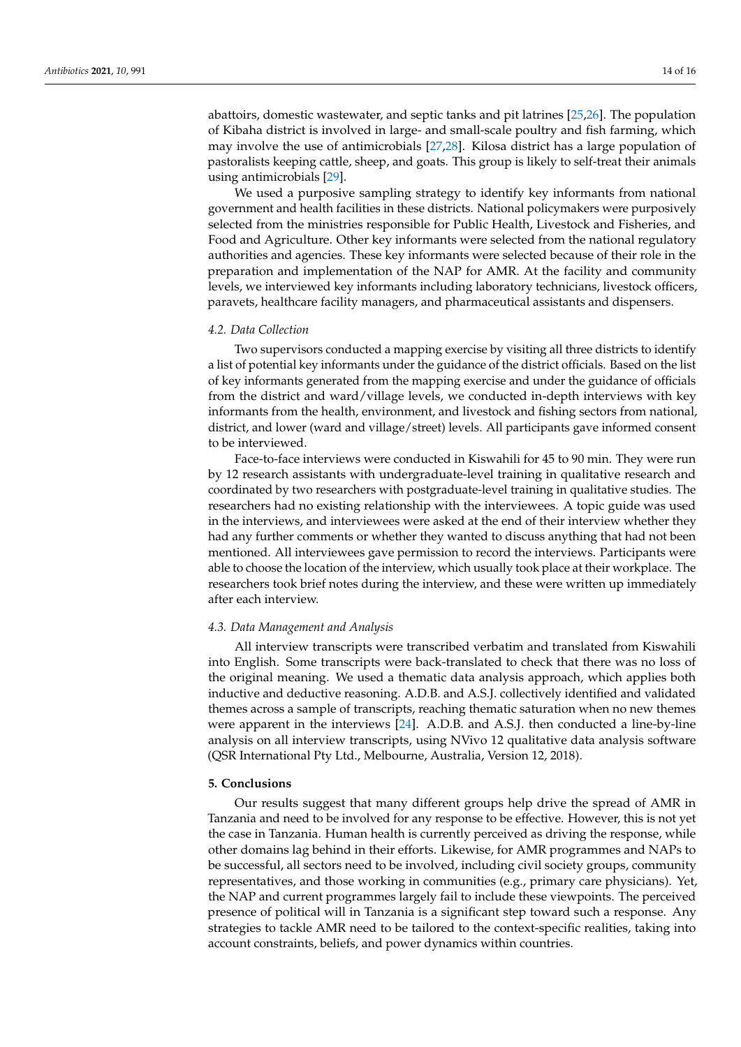abattoirs, domestic wastewater, and septic tanks and pit latrines [\[25](#page-15-13)[,26\]](#page-15-14). The population of Kibaha district is involved in large- and small-scale poultry and fish farming, which may involve the use of antimicrobials [\[27](#page-15-15)[,28\]](#page-15-16). Kilosa district has a large population of pastoralists keeping cattle, sheep, and goats. This group is likely to self-treat their animals using antimicrobials [\[29\]](#page-15-17).

We used a purposive sampling strategy to identify key informants from national government and health facilities in these districts. National policymakers were purposively selected from the ministries responsible for Public Health, Livestock and Fisheries, and Food and Agriculture. Other key informants were selected from the national regulatory authorities and agencies. These key informants were selected because of their role in the preparation and implementation of the NAP for AMR. At the facility and community levels, we interviewed key informants including laboratory technicians, livestock officers, paravets, healthcare facility managers, and pharmaceutical assistants and dispensers.

#### *4.2. Data Collection*

Two supervisors conducted a mapping exercise by visiting all three districts to identify a list of potential key informants under the guidance of the district officials. Based on the list of key informants generated from the mapping exercise and under the guidance of officials from the district and ward/village levels, we conducted in-depth interviews with key informants from the health, environment, and livestock and fishing sectors from national, district, and lower (ward and village/street) levels. All participants gave informed consent to be interviewed.

Face-to-face interviews were conducted in Kiswahili for 45 to 90 min. They were run by 12 research assistants with undergraduate-level training in qualitative research and coordinated by two researchers with postgraduate-level training in qualitative studies. The researchers had no existing relationship with the interviewees. A topic guide was used in the interviews, and interviewees were asked at the end of their interview whether they had any further comments or whether they wanted to discuss anything that had not been mentioned. All interviewees gave permission to record the interviews. Participants were able to choose the location of the interview, which usually took place at their workplace. The researchers took brief notes during the interview, and these were written up immediately after each interview.

#### *4.3. Data Management and Analysis*

All interview transcripts were transcribed verbatim and translated from Kiswahili into English. Some transcripts were back-translated to check that there was no loss of the original meaning. We used a thematic data analysis approach, which applies both inductive and deductive reasoning. A.D.B. and A.S.J. collectively identified and validated themes across a sample of transcripts, reaching thematic saturation when no new themes were apparent in the interviews [\[24\]](#page-15-12). A.D.B. and A.S.J. then conducted a line-by-line analysis on all interview transcripts, using NVivo 12 qualitative data analysis software (QSR International Pty Ltd., Melbourne, Australia, Version 12, 2018).

#### **5. Conclusions**

Our results suggest that many different groups help drive the spread of AMR in Tanzania and need to be involved for any response to be effective. However, this is not yet the case in Tanzania. Human health is currently perceived as driving the response, while other domains lag behind in their efforts. Likewise, for AMR programmes and NAPs to be successful, all sectors need to be involved, including civil society groups, community representatives, and those working in communities (e.g., primary care physicians). Yet, the NAP and current programmes largely fail to include these viewpoints. The perceived presence of political will in Tanzania is a significant step toward such a response. Any strategies to tackle AMR need to be tailored to the context-specific realities, taking into account constraints, beliefs, and power dynamics within countries.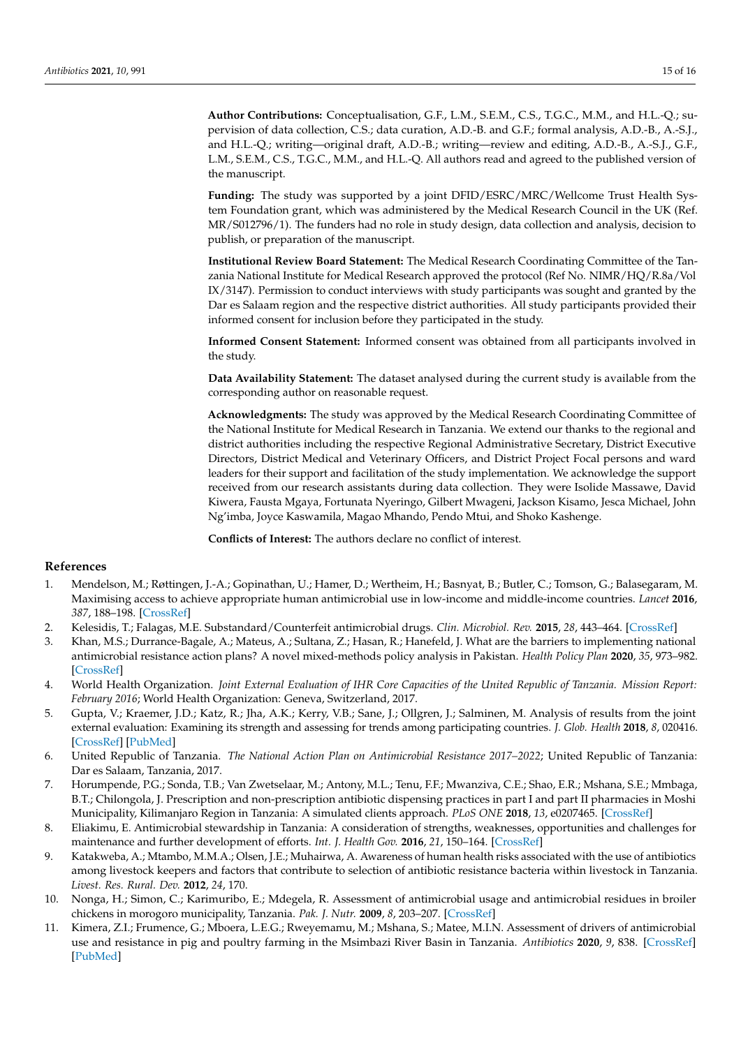**Author Contributions:** Conceptualisation, G.F., L.M., S.E.M., C.S., T.G.C., M.M., and H.L.-Q.; supervision of data collection, C.S.; data curation, A.D.-B. and G.F.; formal analysis, A.D.-B., A.-S.J., and H.L.-Q.; writing—original draft, A.D.-B.; writing—review and editing, A.D.-B., A.-S.J., G.F., L.M., S.E.M., C.S., T.G.C., M.M., and H.L.-Q. All authors read and agreed to the published version of the manuscript.

**Funding:** The study was supported by a joint DFID/ESRC/MRC/Wellcome Trust Health System Foundation grant, which was administered by the Medical Research Council in the UK (Ref. MR/S012796/1). The funders had no role in study design, data collection and analysis, decision to publish, or preparation of the manuscript.

**Institutional Review Board Statement:** The Medical Research Coordinating Committee of the Tanzania National Institute for Medical Research approved the protocol (Ref No. NIMR/HQ/R.8a/Vol IX/3147). Permission to conduct interviews with study participants was sought and granted by the Dar es Salaam region and the respective district authorities. All study participants provided their informed consent for inclusion before they participated in the study.

**Informed Consent Statement:** Informed consent was obtained from all participants involved in the study.

**Data Availability Statement:** The dataset analysed during the current study is available from the corresponding author on reasonable request.

**Acknowledgments:** The study was approved by the Medical Research Coordinating Committee of the National Institute for Medical Research in Tanzania. We extend our thanks to the regional and district authorities including the respective Regional Administrative Secretary, District Executive Directors, District Medical and Veterinary Officers, and District Project Focal persons and ward leaders for their support and facilitation of the study implementation. We acknowledge the support received from our research assistants during data collection. They were Isolide Massawe, David Kiwera, Fausta Mgaya, Fortunata Nyeringo, Gilbert Mwageni, Jackson Kisamo, Jesca Michael, John Ng'imba, Joyce Kaswamila, Magao Mhando, Pendo Mtui, and Shoko Kashenge.

**Conflicts of Interest:** The authors declare no conflict of interest.

## **References**

- <span id="page-14-0"></span>1. Mendelson, M.; Røttingen, J.-A.; Gopinathan, U.; Hamer, D.; Wertheim, H.; Basnyat, B.; Butler, C.; Tomson, G.; Balasegaram, M. Maximising access to achieve appropriate human antimicrobial use in low-income and middle-income countries. *Lancet* **2016**, *387*, 188–198. [\[CrossRef\]](http://doi.org/10.1016/S0140-6736(15)00547-4)
- <span id="page-14-1"></span>2. Kelesidis, T.; Falagas, M.E. Substandard/Counterfeit antimicrobial drugs. *Clin. Microbiol. Rev.* **2015**, *28*, 443–464. [\[CrossRef\]](http://doi.org/10.1128/CMR.00072-14)
- <span id="page-14-2"></span>3. Khan, M.S.; Durrance-Bagale, A.; Mateus, A.; Sultana, Z.; Hasan, R.; Hanefeld, J. What are the barriers to implementing national antimicrobial resistance action plans? A novel mixed-methods policy analysis in Pakistan. *Health Policy Plan* **2020**, *35*, 973–982. [\[CrossRef\]](http://doi.org/10.1093/heapol/czaa065)
- <span id="page-14-3"></span>4. World Health Organization. *Joint External Evaluation of IHR Core Capacities of the United Republic of Tanzania. Mission Report: February 2016*; World Health Organization: Geneva, Switzerland, 2017.
- <span id="page-14-4"></span>5. Gupta, V.; Kraemer, J.D.; Katz, R.; Jha, A.K.; Kerry, V.B.; Sane, J.; Ollgren, J.; Salminen, M. Analysis of results from the joint external evaluation: Examining its strength and assessing for trends among participating countries. *J. Glob. Health* **2018**, *8*, 020416. [\[CrossRef\]](http://doi.org/10.7189/jogh.08.020416) [\[PubMed\]](http://www.ncbi.nlm.nih.gov/pubmed/30410738)
- <span id="page-14-5"></span>6. United Republic of Tanzania. *The National Action Plan on Antimicrobial Resistance 2017–2022*; United Republic of Tanzania: Dar es Salaam, Tanzania, 2017.
- <span id="page-14-6"></span>7. Horumpende, P.G.; Sonda, T.B.; Van Zwetselaar, M.; Antony, M.L.; Tenu, F.F.; Mwanziva, C.E.; Shao, E.R.; Mshana, S.E.; Mmbaga, B.T.; Chilongola, J. Prescription and non-prescription antibiotic dispensing practices in part I and part II pharmacies in Moshi Municipality, Kilimanjaro Region in Tanzania: A simulated clients approach. *PLoS ONE* **2018**, *13*, e0207465. [\[CrossRef\]](http://doi.org/10.1371/journal.pone.0207465)
- <span id="page-14-7"></span>8. Eliakimu, E. Antimicrobial stewardship in Tanzania: A consideration of strengths, weaknesses, opportunities and challenges for maintenance and further development of efforts. *Int. J. Health Gov.* **2016**, *21*, 150–164. [\[CrossRef\]](http://doi.org/10.1108/IJHG-02-2016-0012)
- <span id="page-14-8"></span>9. Katakweba, A.; Mtambo, M.M.A.; Olsen, J.E.; Muhairwa, A. Awareness of human health risks associated with the use of antibiotics among livestock keepers and factors that contribute to selection of antibiotic resistance bacteria within livestock in Tanzania. *Livest. Res. Rural. Dev.* **2012**, *24*, 170.
- 10. Nonga, H.; Simon, C.; Karimuribo, E.; Mdegela, R. Assessment of antimicrobial usage and antimicrobial residues in broiler chickens in morogoro municipality, Tanzania. *Pak. J. Nutr.* **2009**, *8*, 203–207. [\[CrossRef\]](http://doi.org/10.3923/pjn.2009.203.207)
- <span id="page-14-9"></span>11. Kimera, Z.I.; Frumence, G.; Mboera, L.E.G.; Rweyemamu, M.; Mshana, S.; Matee, M.I.N. Assessment of drivers of antimicrobial use and resistance in pig and poultry farming in the Msimbazi River Basin in Tanzania. *Antibiotics* **2020**, *9*, 838. [\[CrossRef\]](http://doi.org/10.3390/antibiotics9120838) [\[PubMed\]](http://www.ncbi.nlm.nih.gov/pubmed/33255152)